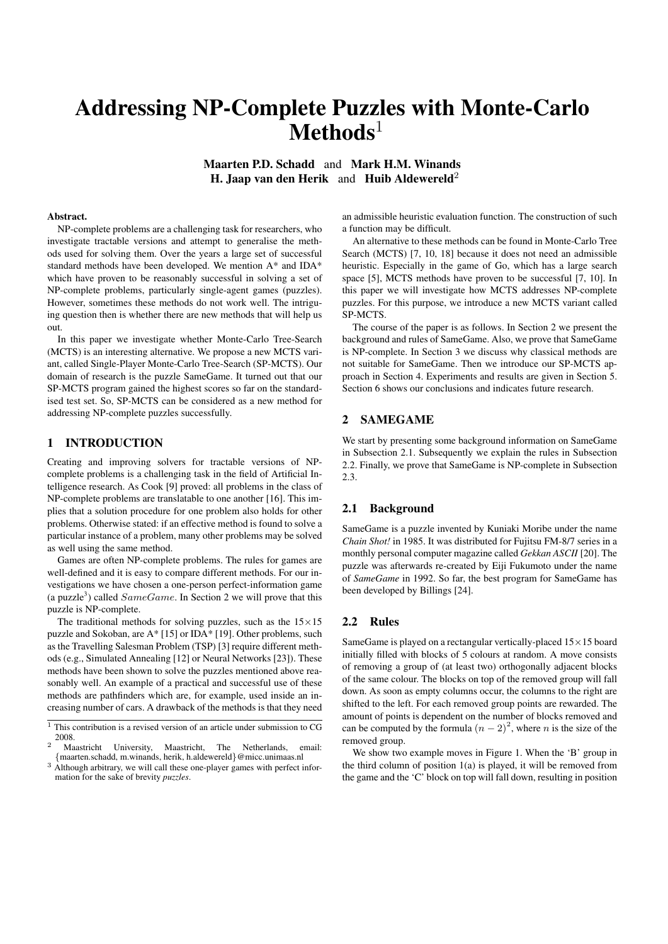# Addressing NP-Complete Puzzles with Monte-Carlo  $$

Maarten P.D. Schadd and Mark H.M. Winands H. Jaap van den Herik and Huib Aldewereld<sup>2</sup>

#### Abstract.

NP-complete problems are a challenging task for researchers, who investigate tractable versions and attempt to generalise the methods used for solving them. Over the years a large set of successful standard methods have been developed. We mention A\* and IDA\* which have proven to be reasonably successful in solving a set of NP-complete problems, particularly single-agent games (puzzles). However, sometimes these methods do not work well. The intriguing question then is whether there are new methods that will help us out.

In this paper we investigate whether Monte-Carlo Tree-Search (MCTS) is an interesting alternative. We propose a new MCTS variant, called Single-Player Monte-Carlo Tree-Search (SP-MCTS). Our domain of research is the puzzle SameGame. It turned out that our SP-MCTS program gained the highest scores so far on the standardised test set. So, SP-MCTS can be considered as a new method for addressing NP-complete puzzles successfully.

# 1 INTRODUCTION

Creating and improving solvers for tractable versions of NPcomplete problems is a challenging task in the field of Artificial Intelligence research. As Cook [9] proved: all problems in the class of NP-complete problems are translatable to one another [16]. This implies that a solution procedure for one problem also holds for other problems. Otherwise stated: if an effective method is found to solve a particular instance of a problem, many other problems may be solved as well using the same method.

Games are often NP-complete problems. The rules for games are well-defined and it is easy to compare different methods. For our investigations we have chosen a one-person perfect-information game (a puzzle<sup>3</sup>) called  $SameGame$ . In Section 2 we will prove that this puzzle is NP-complete.

The traditional methods for solving puzzles, such as the  $15\times15$ puzzle and Sokoban, are A\* [15] or IDA\* [19]. Other problems, such as the Travelling Salesman Problem (TSP) [3] require different methods (e.g., Simulated Annealing [12] or Neural Networks [23]). These methods have been shown to solve the puzzles mentioned above reasonably well. An example of a practical and successful use of these methods are pathfinders which are, for example, used inside an increasing number of cars. A drawback of the methods is that they need an admissible heuristic evaluation function. The construction of such a function may be difficult.

An alternative to these methods can be found in Monte-Carlo Tree Search (MCTS) [7, 10, 18] because it does not need an admissible heuristic. Especially in the game of Go, which has a large search space [5], MCTS methods have proven to be successful [7, 10]. In this paper we will investigate how MCTS addresses NP-complete puzzles. For this purpose, we introduce a new MCTS variant called SP-MCTS.

The course of the paper is as follows. In Section 2 we present the background and rules of SameGame. Also, we prove that SameGame is NP-complete. In Section 3 we discuss why classical methods are not suitable for SameGame. Then we introduce our SP-MCTS approach in Section 4. Experiments and results are given in Section 5. Section 6 shows our conclusions and indicates future research.

# 2 SAMEGAME

We start by presenting some background information on SameGame in Subsection 2.1. Subsequently we explain the rules in Subsection 2.2. Finally, we prove that SameGame is NP-complete in Subsection 2.3.

### 2.1 Background

SameGame is a puzzle invented by Kuniaki Moribe under the name *Chain Shot!* in 1985. It was distributed for Fujitsu FM-8/7 series in a monthly personal computer magazine called *Gekkan ASCII* [20]. The puzzle was afterwards re-created by Eiji Fukumoto under the name of *SameGame* in 1992. So far, the best program for SameGame has been developed by Billings [24].

### 2.2 Rules

SameGame is played on a rectangular vertically-placed  $15 \times 15$  board initially filled with blocks of 5 colours at random. A move consists of removing a group of (at least two) orthogonally adjacent blocks of the same colour. The blocks on top of the removed group will fall down. As soon as empty columns occur, the columns to the right are shifted to the left. For each removed group points are rewarded. The amount of points is dependent on the number of blocks removed and can be computed by the formula  $(n-2)^2$ , where *n* is the size of the removed group.

We show two example moves in Figure 1. When the 'B' group in the third column of position 1(a) is played, it will be removed from the game and the 'C' block on top will fall down, resulting in position

<sup>&</sup>lt;sup>1</sup> This contribution is a revised version of an article under submission to CG 2008.

<sup>2</sup> Maastricht University, Maastricht, The Netherlands, email: {maarten.schadd, m.winands, herik, h.aldewereld}@micc.unimaas.nl

<sup>3</sup> Although arbitrary, we will call these one-player games with perfect information for the sake of brevity *puzzles*.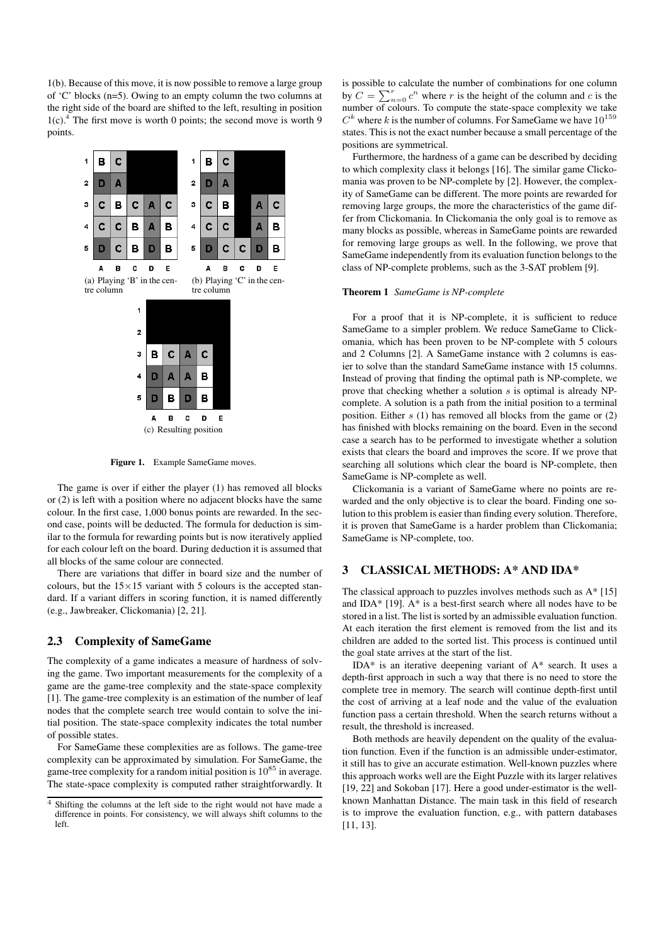1(b). Because of this move, it is now possible to remove a large group of 'C' blocks (n=5). Owing to an empty column the two columns at the right side of the board are shifted to the left, resulting in position  $1(c)$ .<sup>4</sup> The first move is worth 0 points; the second move is worth 9 points.



Figure 1. Example SameGame moves.

The game is over if either the player (1) has removed all blocks or (2) is left with a position where no adjacent blocks have the same colour. In the first case, 1,000 bonus points are rewarded. In the second case, points will be deducted. The formula for deduction is similar to the formula for rewarding points but is now iteratively applied for each colour left on the board. During deduction it is assumed that all blocks of the same colour are connected.

There are variations that differ in board size and the number of colours, but the  $15\times15$  variant with 5 colours is the accepted standard. If a variant differs in scoring function, it is named differently (e.g., Jawbreaker, Clickomania) [2, 21].

#### 2.3 Complexity of SameGame

The complexity of a game indicates a measure of hardness of solving the game. Two important measurements for the complexity of a game are the game-tree complexity and the state-space complexity [1]. The game-tree complexity is an estimation of the number of leaf nodes that the complete search tree would contain to solve the initial position. The state-space complexity indicates the total number of possible states.

For SameGame these complexities are as follows. The game-tree complexity can be approximated by simulation. For SameGame, the game-tree complexity for a random initial position is  $10^{85}$  in average. The state-space complexity is computed rather straightforwardly. It is possible to calculate the number of combinations for one column by  $C = \sum_{n=0}^{r} c^n$  where r is the height of the column and c is the number of colours. To compute the state-space complexity we take  $C<sup>k</sup>$  where k is the number of columns. For SameGame we have  $10^{159}$ states. This is not the exact number because a small percentage of the positions are symmetrical.

Furthermore, the hardness of a game can be described by deciding to which complexity class it belongs [16]. The similar game Clickomania was proven to be NP-complete by [2]. However, the complexity of SameGame can be different. The more points are rewarded for removing large groups, the more the characteristics of the game differ from Clickomania. In Clickomania the only goal is to remove as many blocks as possible, whereas in SameGame points are rewarded for removing large groups as well. In the following, we prove that SameGame independently from its evaluation function belongs to the class of NP-complete problems, such as the 3-SAT problem [9].

#### Theorem 1 *SameGame is NP-complete*

For a proof that it is NP-complete, it is sufficient to reduce SameGame to a simpler problem. We reduce SameGame to Clickomania, which has been proven to be NP-complete with 5 colours and 2 Columns [2]. A SameGame instance with 2 columns is easier to solve than the standard SameGame instance with 15 columns. Instead of proving that finding the optimal path is NP-complete, we prove that checking whether a solution s is optimal is already NPcomplete. A solution is a path from the initial position to a terminal position. Either  $s(1)$  has removed all blocks from the game or  $(2)$ has finished with blocks remaining on the board. Even in the second case a search has to be performed to investigate whether a solution exists that clears the board and improves the score. If we prove that searching all solutions which clear the board is NP-complete, then SameGame is NP-complete as well.

Clickomania is a variant of SameGame where no points are rewarded and the only objective is to clear the board. Finding one solution to this problem is easier than finding every solution. Therefore, it is proven that SameGame is a harder problem than Clickomania; SameGame is NP-complete, too.

# 3 CLASSICAL METHODS: A\* AND IDA\*

The classical approach to puzzles involves methods such as A\* [15] and IDA\* [19]. A\* is a best-first search where all nodes have to be stored in a list. The list is sorted by an admissible evaluation function. At each iteration the first element is removed from the list and its children are added to the sorted list. This process is continued until the goal state arrives at the start of the list.

IDA\* is an iterative deepening variant of A\* search. It uses a depth-first approach in such a way that there is no need to store the complete tree in memory. The search will continue depth-first until the cost of arriving at a leaf node and the value of the evaluation function pass a certain threshold. When the search returns without a result, the threshold is increased.

Both methods are heavily dependent on the quality of the evaluation function. Even if the function is an admissible under-estimator, it still has to give an accurate estimation. Well-known puzzles where this approach works well are the Eight Puzzle with its larger relatives [19, 22] and Sokoban [17]. Here a good under-estimator is the wellknown Manhattan Distance. The main task in this field of research is to improve the evaluation function, e.g., with pattern databases [11, 13].

Shifting the columns at the left side to the right would not have made a difference in points. For consistency, we will always shift columns to the left.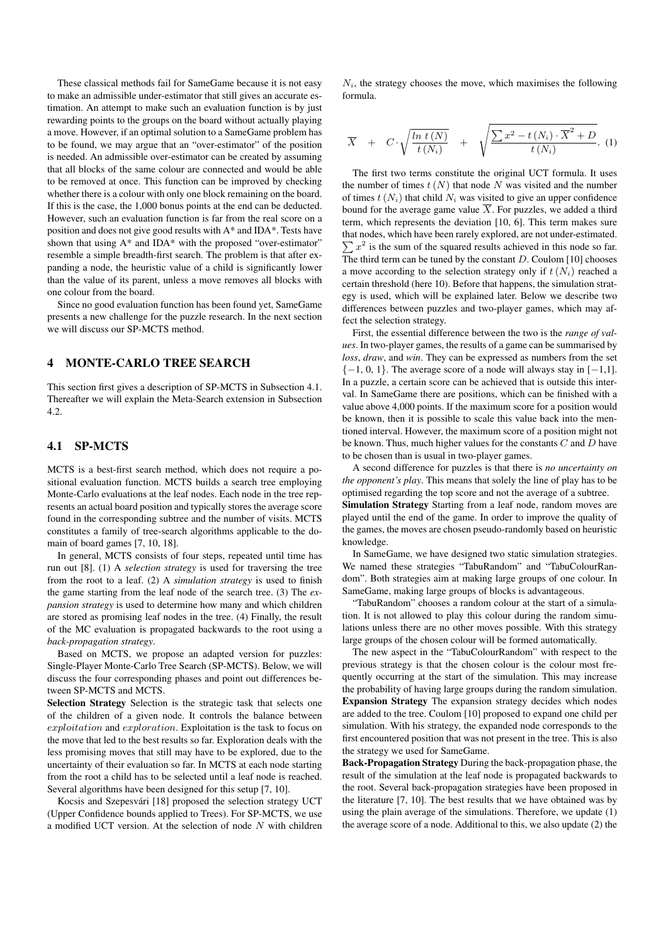These classical methods fail for SameGame because it is not easy to make an admissible under-estimator that still gives an accurate estimation. An attempt to make such an evaluation function is by just rewarding points to the groups on the board without actually playing a move. However, if an optimal solution to a SameGame problem has to be found, we may argue that an "over-estimator" of the position is needed. An admissible over-estimator can be created by assuming that all blocks of the same colour are connected and would be able to be removed at once. This function can be improved by checking whether there is a colour with only one block remaining on the board. If this is the case, the 1,000 bonus points at the end can be deducted. However, such an evaluation function is far from the real score on a position and does not give good results with A\* and IDA\*. Tests have shown that using A\* and IDA\* with the proposed "over-estimator" resemble a simple breadth-first search. The problem is that after expanding a node, the heuristic value of a child is significantly lower than the value of its parent, unless a move removes all blocks with one colour from the board.

Since no good evaluation function has been found yet, SameGame presents a new challenge for the puzzle research. In the next section we will discuss our SP-MCTS method.

# 4 MONTE-CARLO TREE SEARCH

This section first gives a description of SP-MCTS in Subsection 4.1. Thereafter we will explain the Meta-Search extension in Subsection 4.2.

### 4.1 SP-MCTS

MCTS is a best-first search method, which does not require a positional evaluation function. MCTS builds a search tree employing Monte-Carlo evaluations at the leaf nodes. Each node in the tree represents an actual board position and typically stores the average score found in the corresponding subtree and the number of visits. MCTS constitutes a family of tree-search algorithms applicable to the domain of board games [7, 10, 18].

In general, MCTS consists of four steps, repeated until time has run out [8]. (1) A *selection strategy* is used for traversing the tree from the root to a leaf. (2) A *simulation strategy* is used to finish the game starting from the leaf node of the search tree. (3) The *expansion strategy* is used to determine how many and which children are stored as promising leaf nodes in the tree. (4) Finally, the result of the MC evaluation is propagated backwards to the root using a *back-propagation strategy*.

Based on MCTS, we propose an adapted version for puzzles: Single-Player Monte-Carlo Tree Search (SP-MCTS). Below, we will discuss the four corresponding phases and point out differences between SP-MCTS and MCTS.

Selection Strategy Selection is the strategic task that selects one of the children of a given node. It controls the balance between exploitation and exploration. Exploitation is the task to focus on the move that led to the best results so far. Exploration deals with the less promising moves that still may have to be explored, due to the uncertainty of their evaluation so far. In MCTS at each node starting from the root a child has to be selected until a leaf node is reached. Several algorithms have been designed for this setup [7, 10].

Kocsis and Szepesvári [18] proposed the selection strategy UCT (Upper Confidence bounds applied to Trees). For SP-MCTS, we use a modified UCT version. At the selection of node  $N$  with children

 $N_i$ , the strategy chooses the move, which maximises the following formula.

$$
\overline{X} + C \cdot \sqrt{\frac{\ln t(N)}{t(N_i)}} + \sqrt{\frac{\sum x^2 - t(N_i) \cdot \overline{X}^2 + D}{t(N_i)}}.
$$
 (1)

The first two terms constitute the original UCT formula. It uses the number of times  $t(N)$  that node N was visited and the number of times  $t(N_i)$  that child  $N_i$  was visited to give an upper confidence bound for the average game value  $X$ . For puzzles, we added a third term, which represents the deviation [10, 6]. This term makes sure that nodes, which have been rarely explored, are not under-estimated.  $\sum x^2$  is the sum of the squared results achieved in this node so far. The third term can be tuned by the constant  $D$ . Coulom [10] chooses a move according to the selection strategy only if  $t$   $(N_i)$  reached a certain threshold (here 10). Before that happens, the simulation strategy is used, which will be explained later. Below we describe two differences between puzzles and two-player games, which may affect the selection strategy.

First, the essential difference between the two is the *range of values*. In two-player games, the results of a game can be summarised by *loss*, *draw*, and *win*. They can be expressed as numbers from the set  $\{-1, 0, 1\}$ . The average score of a node will always stay in  $[-1,1]$ . In a puzzle, a certain score can be achieved that is outside this interval. In SameGame there are positions, which can be finished with a value above 4,000 points. If the maximum score for a position would be known, then it is possible to scale this value back into the mentioned interval. However, the maximum score of a position might not be known. Thus, much higher values for the constants  $C$  and  $D$  have to be chosen than is usual in two-player games.

A second difference for puzzles is that there is *no uncertainty on the opponent's play*. This means that solely the line of play has to be optimised regarding the top score and not the average of a subtree.

Simulation Strategy Starting from a leaf node, random moves are played until the end of the game. In order to improve the quality of the games, the moves are chosen pseudo-randomly based on heuristic knowledge.

In SameGame, we have designed two static simulation strategies. We named these strategies "TabuRandom" and "TabuColourRandom". Both strategies aim at making large groups of one colour. In SameGame, making large groups of blocks is advantageous.

"TabuRandom" chooses a random colour at the start of a simulation. It is not allowed to play this colour during the random simulations unless there are no other moves possible. With this strategy large groups of the chosen colour will be formed automatically.

The new aspect in the "TabuColourRandom" with respect to the previous strategy is that the chosen colour is the colour most frequently occurring at the start of the simulation. This may increase the probability of having large groups during the random simulation. Expansion Strategy The expansion strategy decides which nodes are added to the tree. Coulom [10] proposed to expand one child per simulation. With his strategy, the expanded node corresponds to the first encountered position that was not present in the tree. This is also the strategy we used for SameGame.

Back-Propagation Strategy During the back-propagation phase, the result of the simulation at the leaf node is propagated backwards to the root. Several back-propagation strategies have been proposed in the literature [7, 10]. The best results that we have obtained was by using the plain average of the simulations. Therefore, we update (1) the average score of a node. Additional to this, we also update (2) the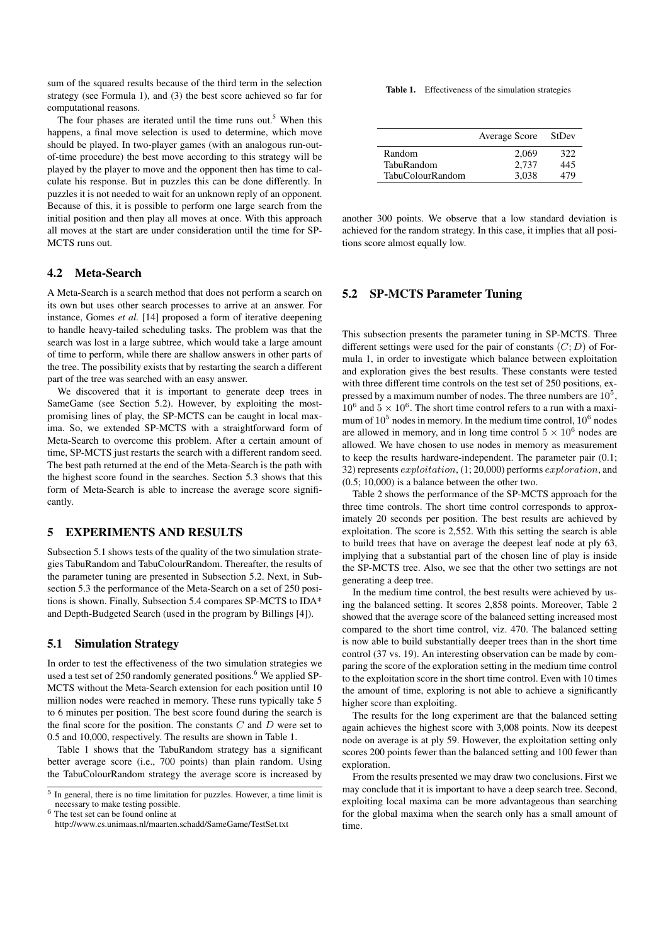sum of the squared results because of the third term in the selection strategy (see Formula 1), and (3) the best score achieved so far for computational reasons.

The four phases are iterated until the time runs out.<sup>5</sup> When this happens, a final move selection is used to determine, which move should be played. In two-player games (with an analogous run-outof-time procedure) the best move according to this strategy will be played by the player to move and the opponent then has time to calculate his response. But in puzzles this can be done differently. In puzzles it is not needed to wait for an unknown reply of an opponent. Because of this, it is possible to perform one large search from the initial position and then play all moves at once. With this approach all moves at the start are under consideration until the time for SP-MCTS runs out.

### 4.2 Meta-Search

A Meta-Search is a search method that does not perform a search on its own but uses other search processes to arrive at an answer. For instance, Gomes *et al.* [14] proposed a form of iterative deepening to handle heavy-tailed scheduling tasks. The problem was that the search was lost in a large subtree, which would take a large amount of time to perform, while there are shallow answers in other parts of the tree. The possibility exists that by restarting the search a different part of the tree was searched with an easy answer.

We discovered that it is important to generate deep trees in SameGame (see Section 5.2). However, by exploiting the mostpromising lines of play, the SP-MCTS can be caught in local maxima. So, we extended SP-MCTS with a straightforward form of Meta-Search to overcome this problem. After a certain amount of time, SP-MCTS just restarts the search with a different random seed. The best path returned at the end of the Meta-Search is the path with the highest score found in the searches. Section 5.3 shows that this form of Meta-Search is able to increase the average score significantly.

# 5 EXPERIMENTS AND RESULTS

Subsection 5.1 shows tests of the quality of the two simulation strategies TabuRandom and TabuColourRandom. Thereafter, the results of the parameter tuning are presented in Subsection 5.2. Next, in Subsection 5.3 the performance of the Meta-Search on a set of 250 positions is shown. Finally, Subsection 5.4 compares SP-MCTS to IDA\* and Depth-Budgeted Search (used in the program by Billings [4]).

### 5.1 Simulation Strategy

In order to test the effectiveness of the two simulation strategies we used a test set of  $250$  randomly generated positions.<sup>6</sup> We applied SP-MCTS without the Meta-Search extension for each position until 10 million nodes were reached in memory. These runs typically take 5 to 6 minutes per position. The best score found during the search is the final score for the position. The constants  $C$  and  $D$  were set to 0.5 and 10,000, respectively. The results are shown in Table 1.

Table 1 shows that the TabuRandom strategy has a significant better average score (i.e., 700 points) than plain random. Using the TabuColourRandom strategy the average score is increased by

<sup>6</sup> The test set can be found online at

Table 1. Effectiveness of the simulation strategies

|                         | Average Score | StDev |
|-------------------------|---------------|-------|
| Random                  | 2.069         | 322   |
| TabuRandom              | 2.737         | 445   |
| <b>TabuColourRandom</b> | 3.038         | 479   |

another 300 points. We observe that a low standard deviation is achieved for the random strategy. In this case, it implies that all positions score almost equally low.

# 5.2 SP-MCTS Parameter Tuning

This subsection presents the parameter tuning in SP-MCTS. Three different settings were used for the pair of constants  $(C; D)$  of Formula 1, in order to investigate which balance between exploitation and exploration gives the best results. These constants were tested with three different time controls on the test set of 250 positions, expressed by a maximum number of nodes. The three numbers are  $10<sup>5</sup>$ ,  $10^6$  and  $5 \times 10^6$ . The short time control refers to a run with a maximum of  $10^5$  nodes in memory. In the medium time control,  $10^6$  nodes are allowed in memory, and in long time control  $5 \times 10^6$  nodes are allowed. We have chosen to use nodes in memory as measurement to keep the results hardware-independent. The parameter pair (0.1; 32) represents exploitation, (1; 20,000) performs exploration, and (0.5; 10,000) is a balance between the other two.

Table 2 shows the performance of the SP-MCTS approach for the three time controls. The short time control corresponds to approximately 20 seconds per position. The best results are achieved by exploitation. The score is 2,552. With this setting the search is able to build trees that have on average the deepest leaf node at ply 63, implying that a substantial part of the chosen line of play is inside the SP-MCTS tree. Also, we see that the other two settings are not generating a deep tree.

In the medium time control, the best results were achieved by using the balanced setting. It scores 2,858 points. Moreover, Table 2 showed that the average score of the balanced setting increased most compared to the short time control, viz. 470. The balanced setting is now able to build substantially deeper trees than in the short time control (37 vs. 19). An interesting observation can be made by comparing the score of the exploration setting in the medium time control to the exploitation score in the short time control. Even with 10 times the amount of time, exploring is not able to achieve a significantly higher score than exploiting.

The results for the long experiment are that the balanced setting again achieves the highest score with 3,008 points. Now its deepest node on average is at ply 59. However, the exploitation setting only scores 200 points fewer than the balanced setting and 100 fewer than exploration.

From the results presented we may draw two conclusions. First we may conclude that it is important to have a deep search tree. Second, exploiting local maxima can be more advantageous than searching for the global maxima when the search only has a small amount of time.

<sup>5</sup> In general, there is no time limitation for puzzles. However, a time limit is necessary to make testing possible.

http://www.cs.unimaas.nl/maarten.schadd/SameGame/TestSet.txt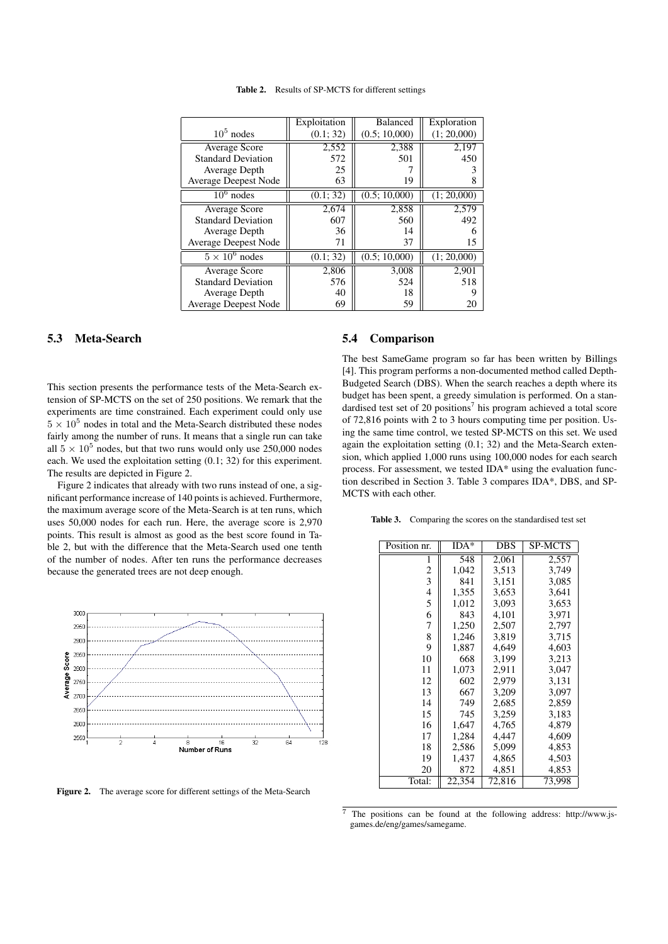|                             | Exploitation | Balanced      | Exploration |
|-----------------------------|--------------|---------------|-------------|
| $105$ nodes                 | (0.1; 32)    | (0.5; 10,000) | (1; 20,000) |
| Average Score               | 2,552        | 2,388         | 2,197       |
| <b>Standard Deviation</b>   | 572          | 501           | 450         |
| Average Depth               | 25           |               |             |
| Average Deepest Node        | 63           | 19            | 8           |
| $\overline{10^6}$ nodes     | (0.1; 32)    | (0.5; 10,000) | (1; 20,000) |
| Average Score               | 2,674        | 2,858         | 2,579       |
| <b>Standard Deviation</b>   | 607          | 560           | 492         |
| Average Depth               | 36           | 14            |             |
| <b>Average Deepest Node</b> | 71           | 37            | 15          |
| $5 \times 10^6$ nodes       | (0.1; 32)    | (0.5; 10,000) | (1; 20,000) |
| Average Score               | 2,806        | 3,008         | 2.901       |
| <b>Standard Deviation</b>   | 576          | 524           | 518         |
| Average Depth               | 40           | 18            |             |
| Average Deepest Node        | 69           | 59            | 20          |

Table 2. Results of SP-MCTS for different settings

# 5.3 Meta-Search

This section presents the performance tests of the Meta-Search extension of SP-MCTS on the set of 250 positions. We remark that the experiments are time constrained. Each experiment could only use  $5 \times 10^5$  nodes in total and the Meta-Search distributed these nodes fairly among the number of runs. It means that a single run can take all  $5 \times 10^5$  nodes, but that two runs would only use 250,000 nodes each. We used the exploitation setting (0.1; 32) for this experiment. The results are depicted in Figure 2.

Figure 2 indicates that already with two runs instead of one, a significant performance increase of 140 points is achieved. Furthermore, the maximum average score of the Meta-Search is at ten runs, which uses 50,000 nodes for each run. Here, the average score is 2,970 points. This result is almost as good as the best score found in Table 2, but with the difference that the Meta-Search used one tenth of the number of nodes. After ten runs the performance decreases because the generated trees are not deep enough.



Figure 2. The average score for different settings of the Meta-Search

### 5.4 Comparison

The best SameGame program so far has been written by Billings [4]. This program performs a non-documented method called Depth-Budgeted Search (DBS). When the search reaches a depth where its budget has been spent, a greedy simulation is performed. On a standardised test set of 20 positions<sup>7</sup> his program achieved a total score of 72,816 points with 2 to 3 hours computing time per position. Using the same time control, we tested SP-MCTS on this set. We used again the exploitation setting (0.1; 32) and the Meta-Search extension, which applied 1,000 runs using 100,000 nodes for each search process. For assessment, we tested IDA\* using the evaluation function described in Section 3. Table 3 compares IDA\*, DBS, and SP-MCTS with each other.

Table 3. Comparing the scores on the standardised test set

| Position nr.             | $IDA*$ | <b>DBS</b> | <b>SP-MCTS</b> |
|--------------------------|--------|------------|----------------|
| 1                        | 548    | 2,061      | 2,557          |
| $\overline{\mathbf{c}}$  | 1,042  | 3,513      | 3,749          |
| 3                        | 841    | 3,151      | 3,085          |
| $\overline{\mathcal{L}}$ | 1,355  | 3,653      | 3,641          |
| 5                        | 1,012  | 3,093      | 3,653          |
| 6                        | 843    | 4,101      | 3,971          |
| 7                        | 1,250  | 2,507      | 2,797          |
| 8                        | 1,246  | 3,819      | 3,715          |
| 9                        | 1,887  | 4.649      | 4,603          |
| 10                       | 668    | 3,199      | 3,213          |
| 11                       | 1,073  | 2,911      | 3,047          |
| 12                       | 602    | 2,979      | 3,131          |
| 13                       | 667    | 3,209      | 3,097          |
| 14                       | 749    | 2,685      | 2,859          |
| 15                       | 745    | 3,259      | 3,183          |
| 16                       | 1,647  | 4,765      | 4,879          |
| 17                       | 1,284  | 4,447      | 4,609          |
| 18                       | 2,586  | 5,099      | 4,853          |
| 19                       | 1,437  | 4,865      | 4,503          |
| 20                       | 872    | 4,851      | 4,853          |
| Total:                   | 22,354 | 72.816     | 73,998         |

<sup>7</sup> The positions can be found at the following address: http://www.jsgames.de/eng/games/samegame.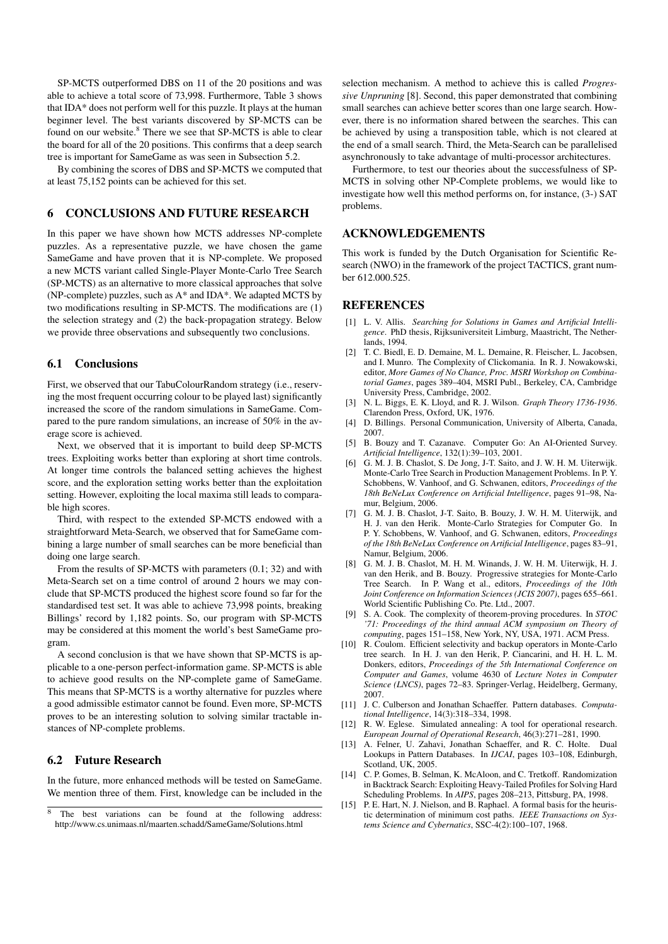SP-MCTS outperformed DBS on 11 of the 20 positions and was able to achieve a total score of 73,998. Furthermore, Table 3 shows that IDA\* does not perform well for this puzzle. It plays at the human beginner level. The best variants discovered by SP-MCTS can be found on our website.<sup>8</sup> There we see that SP-MCTS is able to clear the board for all of the 20 positions. This confirms that a deep search tree is important for SameGame as was seen in Subsection 5.2.

By combining the scores of DBS and SP-MCTS we computed that at least 75,152 points can be achieved for this set.

# 6 CONCLUSIONS AND FUTURE RESEARCH

In this paper we have shown how MCTS addresses NP-complete puzzles. As a representative puzzle, we have chosen the game SameGame and have proven that it is NP-complete. We proposed a new MCTS variant called Single-Player Monte-Carlo Tree Search (SP-MCTS) as an alternative to more classical approaches that solve (NP-complete) puzzles, such as A\* and IDA\*. We adapted MCTS by two modifications resulting in SP-MCTS. The modifications are (1) the selection strategy and (2) the back-propagation strategy. Below we provide three observations and subsequently two conclusions.

#### 6.1 Conclusions

First, we observed that our TabuColourRandom strategy (i.e., reserving the most frequent occurring colour to be played last) significantly increased the score of the random simulations in SameGame. Compared to the pure random simulations, an increase of 50% in the average score is achieved.

Next, we observed that it is important to build deep SP-MCTS trees. Exploiting works better than exploring at short time controls. At longer time controls the balanced setting achieves the highest score, and the exploration setting works better than the exploitation setting. However, exploiting the local maxima still leads to comparable high scores.

Third, with respect to the extended SP-MCTS endowed with a straightforward Meta-Search, we observed that for SameGame combining a large number of small searches can be more beneficial than doing one large search.

From the results of SP-MCTS with parameters (0.1; 32) and with Meta-Search set on a time control of around 2 hours we may conclude that SP-MCTS produced the highest score found so far for the standardised test set. It was able to achieve 73,998 points, breaking Billings' record by 1,182 points. So, our program with SP-MCTS may be considered at this moment the world's best SameGame program.

A second conclusion is that we have shown that SP-MCTS is applicable to a one-person perfect-information game. SP-MCTS is able to achieve good results on the NP-complete game of SameGame. This means that SP-MCTS is a worthy alternative for puzzles where a good admissible estimator cannot be found. Even more, SP-MCTS proves to be an interesting solution to solving similar tractable instances of NP-complete problems.

#### 6.2 Future Research

In the future, more enhanced methods will be tested on SameGame. We mention three of them. First, knowledge can be included in the selection mechanism. A method to achieve this is called *Progressive Unpruning* [8]. Second, this paper demonstrated that combining small searches can achieve better scores than one large search. However, there is no information shared between the searches. This can be achieved by using a transposition table, which is not cleared at the end of a small search. Third, the Meta-Search can be parallelised asynchronously to take advantage of multi-processor architectures.

Furthermore, to test our theories about the successfulness of SP-MCTS in solving other NP-Complete problems, we would like to investigate how well this method performs on, for instance, (3-) SAT problems.

# ACKNOWLEDGEMENTS

This work is funded by the Dutch Organisation for Scientific Research (NWO) in the framework of the project TACTICS, grant number 612.000.525.

# **REFERENCES**

- [1] L. V. Allis. *Searching for Solutions in Games and Artificial Intelligence*. PhD thesis, Rijksuniversiteit Limburg, Maastricht, The Netherlands, 1994.
- [2] T. C. Biedl, E. D. Demaine, M. L. Demaine, R. Fleischer, L. Jacobsen, and I. Munro. The Complexity of Clickomania. In R. J. Nowakowski, editor, *More Games of No Chance, Proc. MSRI Workshop on Combinatorial Games*, pages 389–404, MSRI Publ., Berkeley, CA, Cambridge University Press, Cambridge, 2002.
- [3] N. L. Biggs, E. K. Lloyd, and R. J. Wilson. *Graph Theory 1736-1936*. Clarendon Press, Oxford, UK, 1976.
- [4] D. Billings. Personal Communication, University of Alberta, Canada, 2007.
- [5] B. Bouzy and T. Cazanave. Computer Go: An AI-Oriented Survey. *Artificial Intelligence*, 132(1):39–103, 2001.
- [6] G. M. J. B. Chaslot, S. De Jong, J-T. Saito, and J. W. H. M. Uiterwijk. Monte-Carlo Tree Search in Production Management Problems. In P. Y. Schobbens, W. Vanhoof, and G. Schwanen, editors, *Proceedings of the 18th BeNeLux Conference on Artificial Intelligence*, pages 91–98, Namur, Belgium, 2006.
- [7] G. M. J. B. Chaslot, J-T. Saito, B. Bouzy, J. W. H. M. Uiterwijk, and H. J. van den Herik. Monte-Carlo Strategies for Computer Go. In P. Y. Schobbens, W. Vanhoof, and G. Schwanen, editors, *Proceedings of the 18th BeNeLux Conference on Artificial Intelligence*, pages 83–91, Namur, Belgium, 2006.
- [8] G. M. J. B. Chaslot, M. H. M. Winands, J. W. H. M. Uiterwijk, H. J. van den Herik, and B. Bouzy. Progressive strategies for Monte-Carlo Tree Search. In P. Wang et al., editors, *Proceedings of the 10th Joint Conference on Information Sciences (JCIS 2007)*, pages 655–661. World Scientific Publishing Co. Pte. Ltd., 2007.
- [9] S. A. Cook. The complexity of theorem-proving procedures. In *STOC '71: Proceedings of the third annual ACM symposium on Theory of computing*, pages 151–158, New York, NY, USA, 1971. ACM Press.
- [10] R. Coulom. Efficient selectivity and backup operators in Monte-Carlo tree search. In H. J. van den Herik, P. Ciancarini, and H. H. L. M. Donkers, editors, *Proceedings of the 5th International Conference on Computer and Games*, volume 4630 of *Lecture Notes in Computer Science (LNCS)*, pages 72–83. Springer-Verlag, Heidelberg, Germany, 2007.
- [11] J. C. Culberson and Jonathan Schaeffer. Pattern databases. *Computational Intelligence*, 14(3):318–334, 1998.
- [12] R. W. Eglese. Simulated annealing: A tool for operational research. *European Journal of Operational Research*, 46(3):271–281, 1990.
- [13] A. Felner, U. Zahavi, Jonathan Schaeffer, and R. C. Holte. Dual Lookups in Pattern Databases. In *IJCAI*, pages 103–108, Edinburgh, Scotland, UK, 2005.
- [14] C. P. Gomes, B. Selman, K. McAloon, and C. Tretkoff. Randomization in Backtrack Search: Exploiting Heavy-Tailed Profiles for Solving Hard Scheduling Problems. In *AIPS*, pages 208–213, Pittsburg, PA, 1998.
- [15] P. E. Hart, N. J. Nielson, and B. Raphael. A formal basis for the heuristic determination of minimum cost paths. *IEEE Transactions on Systems Science and Cybernatics*, SSC-4(2):100–107, 1968.

The best variations can be found at the following address: http://www.cs.unimaas.nl/maarten.schadd/SameGame/Solutions.html